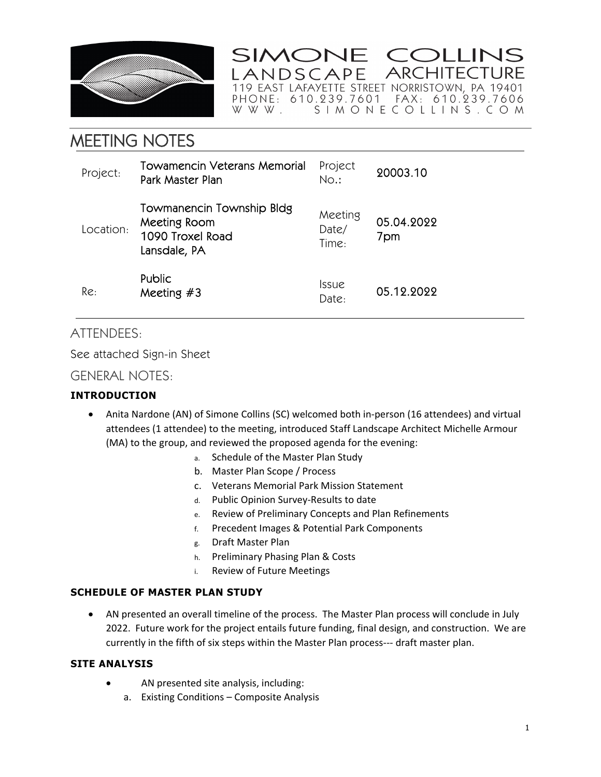

SIMONE COLLINS **ARCHITECTURE** ANDSCAPE 

# MEETING NOTES

| Project:  | Towamencin Veterans Memorial<br>Park Master Plan                              | Project<br>No.:              | 20003.10          |
|-----------|-------------------------------------------------------------------------------|------------------------------|-------------------|
| Location: | Towmanencin Township Bldg<br>Meeting Room<br>1090 Troxel Road<br>Lansdale, PA | Meeting<br>Date/<br>Time:    | 05.04.2022<br>7pm |
| Re:       | <b>Public</b><br>Meeting $#3$                                                 | <i><b>Issue</b></i><br>Date: | 05.12.2022        |

# ATTENDEES:

See attached Sign-in Sheet

GENERAL NOTES:

## **INTRODUCTION**

- Anita Nardone (AN) of Simone Collins (SC) welcomed both in-person (16 attendees) and virtual attendees (1 attendee) to the meeting, introduced Staff Landscape Architect Michelle Armour (MA) to the group, and reviewed the proposed agenda for the evening:
	- a. Schedule of the Master Plan Study
	- b. Master Plan Scope / Process
	- c. Veterans Memorial Park Mission Statement
	- d. Public Opinion Survey‐Results to date
	- e. Review of Preliminary Concepts and Plan Refinements
	- f. Precedent Images & Potential Park Components
	- g. Draft Master Plan
	- h. Preliminary Phasing Plan & Costs
	- i. Review of Future Meetings

#### **SCHEDULE OF MASTER PLAN STUDY**

 AN presented an overall timeline of the process. The Master Plan process will conclude in July 2022. Future work for the project entails future funding, final design, and construction. We are currently in the fifth of six steps within the Master Plan process--- draft master plan.

#### **SITE ANALYSIS**

- AN presented site analysis, including:
	- a. Existing Conditions Composite Analysis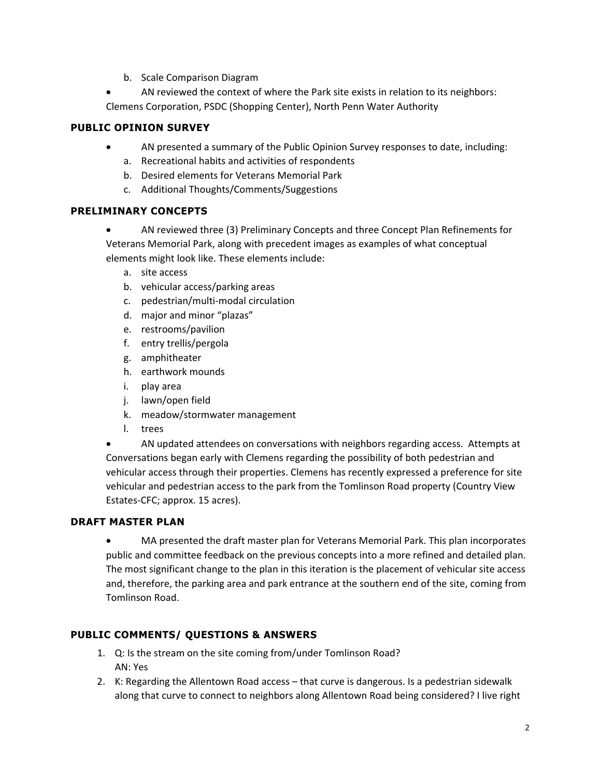b. Scale Comparison Diagram

 AN reviewed the context of where the Park site exists in relation to its neighbors: Clemens Corporation, PSDC (Shopping Center), North Penn Water Authority

#### **PUBLIC OPINION SURVEY**

- AN presented a summary of the Public Opinion Survey responses to date, including:
	- a. Recreational habits and activities of respondents
	- b. Desired elements for Veterans Memorial Park
	- c. Additional Thoughts/Comments/Suggestions

## **PRELIMINARY CONCEPTS**

 AN reviewed three (3) Preliminary Concepts and three Concept Plan Refinements for Veterans Memorial Park, along with precedent images as examples of what conceptual elements might look like. These elements include:

- a. site access
- b. vehicular access/parking areas
- c. pedestrian/multi‐modal circulation
- d. major and minor "plazas"
- e. restrooms/pavilion
- f. entry trellis/pergola
- g. amphitheater
- h. earthwork mounds
- i. play area
- j. lawn/open field
- k. meadow/stormwater management
- l. trees

 AN updated attendees on conversations with neighbors regarding access. Attempts at Conversations began early with Clemens regarding the possibility of both pedestrian and vehicular access through their properties. Clemens has recently expressed a preference for site vehicular and pedestrian access to the park from the Tomlinson Road property (Country View Estates‐CFC; approx. 15 acres).

#### **DRAFT MASTER PLAN**

 MA presented the draft master plan for Veterans Memorial Park. This plan incorporates public and committee feedback on the previous concepts into a more refined and detailed plan. The most significant change to the plan in this iteration is the placement of vehicular site access and, therefore, the parking area and park entrance at the southern end of the site, coming from Tomlinson Road.

#### **PUBLIC COMMENTS/ QUESTIONS & ANSWERS**

- 1. Q: Is the stream on the site coming from/under Tomlinson Road? AN: Yes
- 2. K: Regarding the Allentown Road access that curve is dangerous. Is a pedestrian sidewalk along that curve to connect to neighbors along Allentown Road being considered? I live right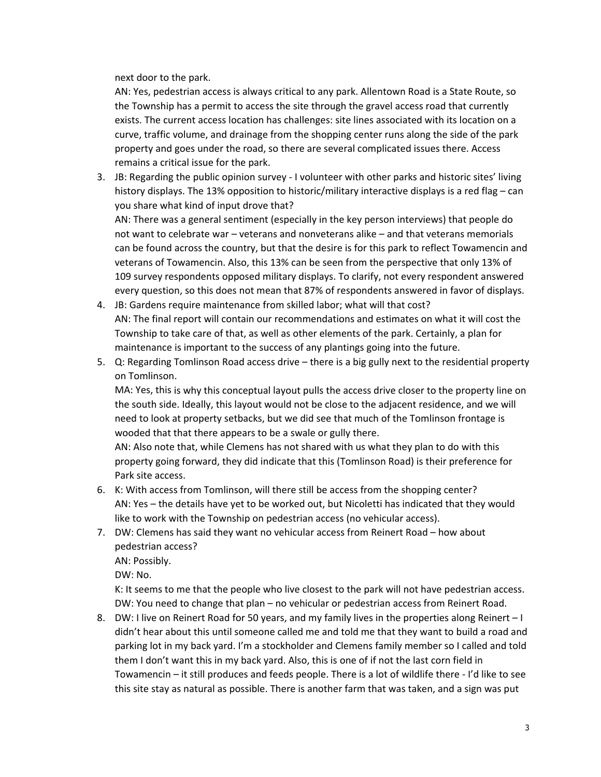next door to the park.

AN: Yes, pedestrian access is always critical to any park. Allentown Road is a State Route, so the Township has a permit to access the site through the gravel access road that currently exists. The current access location has challenges: site lines associated with its location on a curve, traffic volume, and drainage from the shopping center runs along the side of the park property and goes under the road, so there are several complicated issues there. Access remains a critical issue for the park.

3. JB: Regarding the public opinion survey ‐ I volunteer with other parks and historic sites' living history displays. The 13% opposition to historic/military interactive displays is a red flag – can you share what kind of input drove that? AN: There was a general sentiment (especially in the key person interviews) that people do

not want to celebrate war – veterans and nonveterans alike – and that veterans memorials can be found across the country, but that the desire is for this park to reflect Towamencin and veterans of Towamencin. Also, this 13% can be seen from the perspective that only 13% of 109 survey respondents opposed military displays. To clarify, not every respondent answered every question, so this does not mean that 87% of respondents answered in favor of displays.

- 4. JB: Gardens require maintenance from skilled labor; what will that cost? AN: The final report will contain our recommendations and estimates on what it will cost the Township to take care of that, as well as other elements of the park. Certainly, a plan for maintenance is important to the success of any plantings going into the future.
- 5. Q: Regarding Tomlinson Road access drive there is a big gully next to the residential property on Tomlinson.

MA: Yes, this is why this conceptual layout pulls the access drive closer to the property line on the south side. Ideally, this layout would not be close to the adjacent residence, and we will need to look at property setbacks, but we did see that much of the Tomlinson frontage is wooded that that there appears to be a swale or gully there.

AN: Also note that, while Clemens has not shared with us what they plan to do with this property going forward, they did indicate that this (Tomlinson Road) is their preference for Park site access.

- 6. K: With access from Tomlinson, will there still be access from the shopping center? AN: Yes – the details have yet to be worked out, but Nicoletti has indicated that they would like to work with the Township on pedestrian access (no vehicular access).
- 7. DW: Clemens has said they want no vehicular access from Reinert Road how about pedestrian access?

AN: Possibly.

DW: No.

K: It seems to me that the people who live closest to the park will not have pedestrian access. DW: You need to change that plan – no vehicular or pedestrian access from Reinert Road.

8. DW: I live on Reinert Road for 50 years, and my family lives in the properties along Reinert – I didn't hear about this until someone called me and told me that they want to build a road and parking lot in my back yard. I'm a stockholder and Clemens family member so I called and told them I don't want this in my back yard. Also, this is one of if not the last corn field in Towamencin – it still produces and feeds people. There is a lot of wildlife there ‐ I'd like to see this site stay as natural as possible. There is another farm that was taken, and a sign was put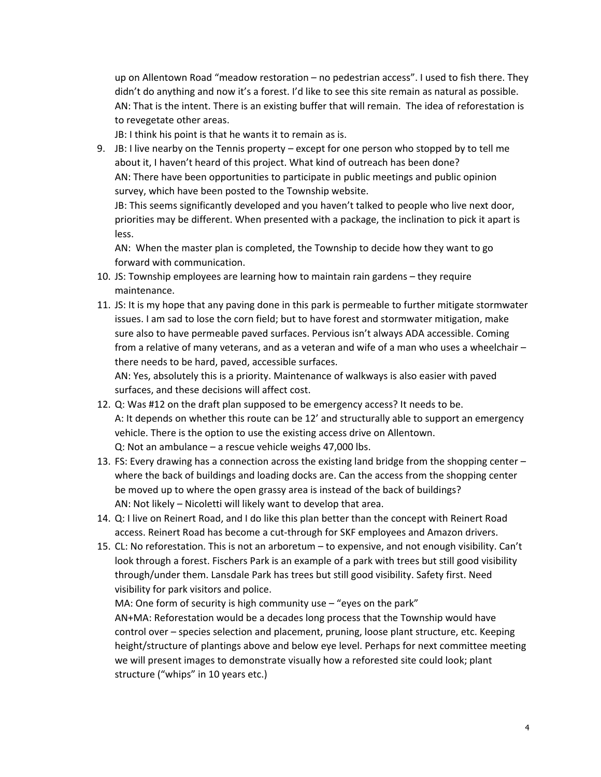up on Allentown Road "meadow restoration – no pedestrian access". I used to fish there. They didn't do anything and now it's a forest. I'd like to see this site remain as natural as possible. AN: That is the intent. There is an existing buffer that will remain. The idea of reforestation is to revegetate other areas.

JB: I think his point is that he wants it to remain as is.

9. JB: I live nearby on the Tennis property – except for one person who stopped by to tell me about it, I haven't heard of this project. What kind of outreach has been done? AN: There have been opportunities to participate in public meetings and public opinion survey, which have been posted to the Township website.

JB: This seems significantly developed and you haven't talked to people who live next door, priorities may be different. When presented with a package, the inclination to pick it apart is less.

AN: When the master plan is completed, the Township to decide how they want to go forward with communication.

- 10. JS: Township employees are learning how to maintain rain gardens they require maintenance.
- 11. JS: It is my hope that any paving done in this park is permeable to further mitigate stormwater issues. I am sad to lose the corn field; but to have forest and stormwater mitigation, make sure also to have permeable paved surfaces. Pervious isn't always ADA accessible. Coming from a relative of many veterans, and as a veteran and wife of a man who uses a wheelchair – there needs to be hard, paved, accessible surfaces.

AN: Yes, absolutely this is a priority. Maintenance of walkways is also easier with paved surfaces, and these decisions will affect cost.

- 12. Q: Was #12 on the draft plan supposed to be emergency access? It needs to be. A: It depends on whether this route can be 12' and structurally able to support an emergency vehicle. There is the option to use the existing access drive on Allentown. Q: Not an ambulance – a rescue vehicle weighs 47,000 lbs.
- 13. FS: Every drawing has a connection across the existing land bridge from the shopping center where the back of buildings and loading docks are. Can the access from the shopping center be moved up to where the open grassy area is instead of the back of buildings? AN: Not likely – Nicoletti will likely want to develop that area.
- 14. Q: I live on Reinert Road, and I do like this plan better than the concept with Reinert Road access. Reinert Road has become a cut‐through for SKF employees and Amazon drivers.
- 15. CL: No reforestation. This is not an arboretum to expensive, and not enough visibility. Can't look through a forest. Fischers Park is an example of a park with trees but still good visibility through/under them. Lansdale Park has trees but still good visibility. Safety first. Need visibility for park visitors and police.

MA: One form of security is high community use – "eyes on the park"

AN+MA: Reforestation would be a decades long process that the Township would have control over – species selection and placement, pruning, loose plant structure, etc. Keeping height/structure of plantings above and below eye level. Perhaps for next committee meeting we will present images to demonstrate visually how a reforested site could look; plant structure ("whips" in 10 years etc.)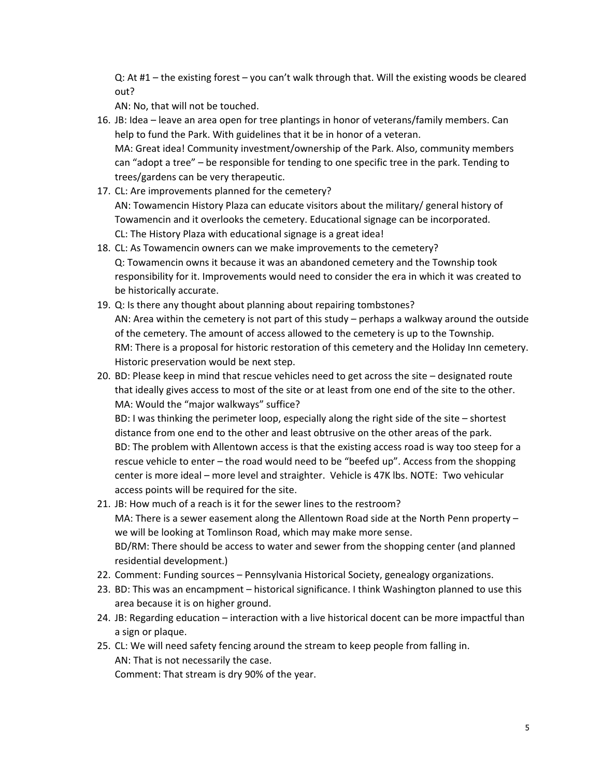Q: At #1 – the existing forest – you can't walk through that. Will the existing woods be cleared out?

AN: No, that will not be touched.

- 16. JB: Idea leave an area open for tree plantings in honor of veterans/family members. Can help to fund the Park. With guidelines that it be in honor of a veteran. MA: Great idea! Community investment/ownership of the Park. Also, community members can "adopt a tree" – be responsible for tending to one specific tree in the park. Tending to trees/gardens can be very therapeutic.
- 17. CL: Are improvements planned for the cemetery? AN: Towamencin History Plaza can educate visitors about the military/ general history of Towamencin and it overlooks the cemetery. Educational signage can be incorporated. CL: The History Plaza with educational signage is a great idea!
- 18. CL: As Towamencin owners can we make improvements to the cemetery? Q: Towamencin owns it because it was an abandoned cemetery and the Township took responsibility for it. Improvements would need to consider the era in which it was created to be historically accurate.
- 19. Q: Is there any thought about planning about repairing tombstones? AN: Area within the cemetery is not part of this study – perhaps a walkway around the outside of the cemetery. The amount of access allowed to the cemetery is up to the Township. RM: There is a proposal for historic restoration of this cemetery and the Holiday Inn cemetery. Historic preservation would be next step.
- 20. BD: Please keep in mind that rescue vehicles need to get across the site designated route that ideally gives access to most of the site or at least from one end of the site to the other. MA: Would the "major walkways" suffice?

BD: I was thinking the perimeter loop, especially along the right side of the site – shortest distance from one end to the other and least obtrusive on the other areas of the park. BD: The problem with Allentown access is that the existing access road is way too steep for a rescue vehicle to enter – the road would need to be "beefed up". Access from the shopping center is more ideal – more level and straighter. Vehicle is 47K lbs. NOTE: Two vehicular access points will be required for the site.

- 21. JB: How much of a reach is it for the sewer lines to the restroom? MA: There is a sewer easement along the Allentown Road side at the North Penn property – we will be looking at Tomlinson Road, which may make more sense. BD/RM: There should be access to water and sewer from the shopping center (and planned residential development.)
- 22. Comment: Funding sources Pennsylvania Historical Society, genealogy organizations.
- 23. BD: This was an encampment historical significance. I think Washington planned to use this area because it is on higher ground.
- 24. JB: Regarding education interaction with a live historical docent can be more impactful than a sign or plaque.
- 25. CL: We will need safety fencing around the stream to keep people from falling in. AN: That is not necessarily the case. Comment: That stream is dry 90% of the year.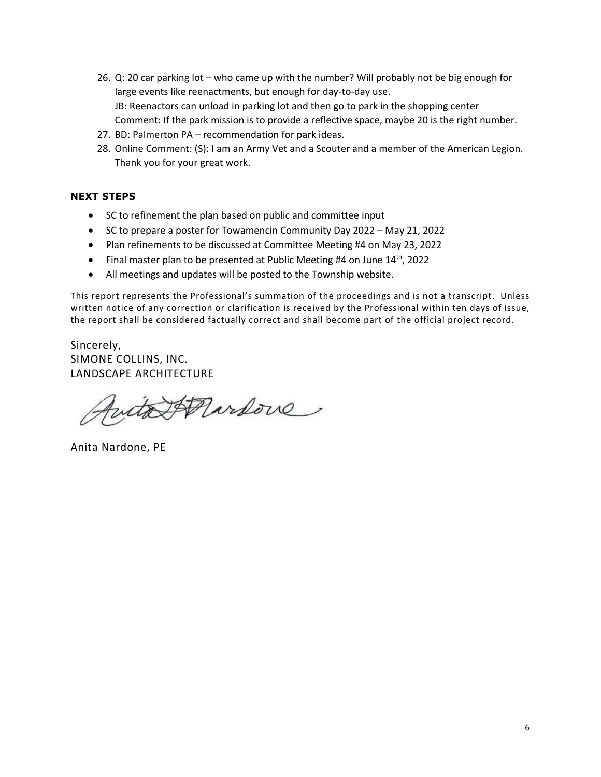- 26. Q: 20 car parking lot who came up with the number? Will probably not be big enough for large events like reenactments, but enough for day‐to‐day use. JB: Reenactors can unload in parking lot and then go to park in the shopping center Comment: If the park mission is to provide a reflective space, maybe 20 is the right number.
- 27. BD: Palmerton PA recommendation for park ideas.
- 28. Online Comment: (S): I am an Army Vet and a Scouter and a member of the American Legion. Thank you for your great work.

#### **NEXT STEPS**

- SC to refinement the plan based on public and committee input
- SC to prepare a poster for Towamencin Community Day 2022 May 21, 2022
- Plan refinements to be discussed at Committee Meeting #4 on May 23, 2022
- Final master plan to be presented at Public Meeting #4 on June 14<sup>th</sup>, 2022
- All meetings and updates will be posted to the Township website.

This report represents the Professional's summation of the proceedings and is not a transcript. Unless written notice of any correction or clarification is received by the Professional within ten days of issue, the report shall be considered factually correct and shall become part of the official project record.

Sincerely, SIMONE COLLINS, INC. LANDSCAPE ARCHITECTURE

with Pardove

Anita Nardone, PE